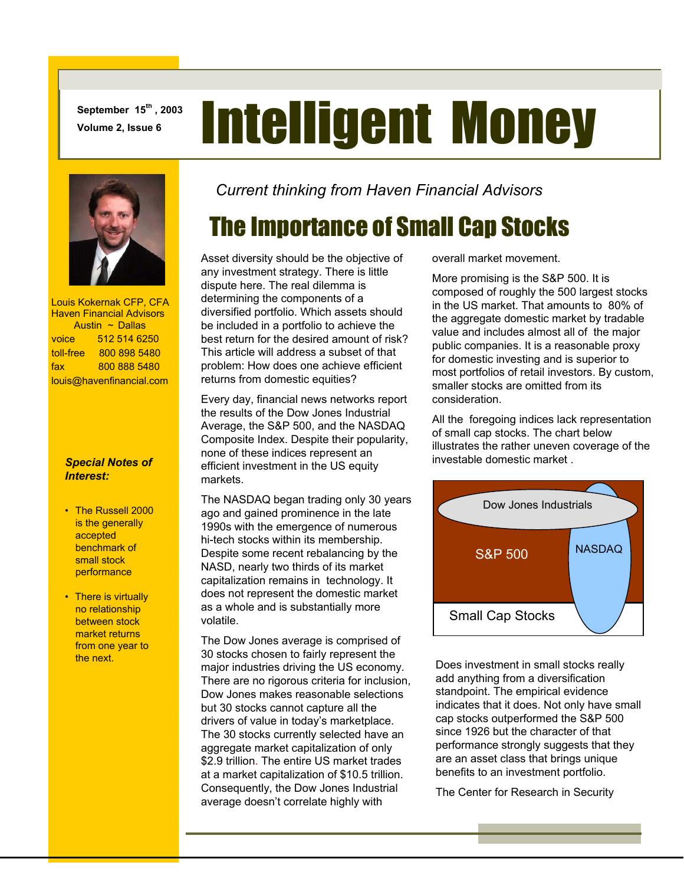**September 15th , 2003** 

# **September 15th, 2003** Intelligent Money



 Louis Kokernak CFP, CFA Haven Financial Advisors Austin ~ Dallas voice 512 514 6250 toll-free 800 898 5480 fax 800 888 5480 louis@havenfinancial.com

#### *Special Notes of Interest:*

- The Russell 2000 is the generally accepted benchmark of small stock performance
- There is virtually no relationship between stock market returns from one year to the next.

*Current thinking from Haven Financial Advisors* 

## The Importance of Small Cap Stocks

Asset diversity should be the objective of any investment strategy. There is little dispute here. The real dilemma is determining the components of a diversified portfolio. Which assets should be included in a portfolio to achieve the best return for the desired amount of risk? This article will address a subset of that problem: How does one achieve efficient returns from domestic equities?

Every day, financial news networks report the results of the Dow Jones Industrial Average, the S&P 500, and the NASDAQ Composite Index. Despite their popularity, none of these indices represent an efficient investment in the US equity markets.

The NASDAQ began trading only 30 years ago and gained prominence in the late 1990s with the emergence of numerous hi-tech stocks within its membership. Despite some recent rebalancing by the NASD, nearly two thirds of its market capitalization remains in technology. It does not represent the domestic market as a whole and is substantially more volatile.

The Dow Jones average is comprised of 30 stocks chosen to fairly represent the major industries driving the US economy. There are no rigorous criteria for inclusion, Dow Jones makes reasonable selections but 30 stocks cannot capture all the drivers of value in today's marketplace. The 30 stocks currently selected have an aggregate market capitalization of only \$2.9 trillion. The entire US market trades at a market capitalization of \$10.5 trillion. Consequently, the Dow Jones Industrial average doesn't correlate highly with

overall market movement.

More promising is the S&P 500. It is composed of roughly the 500 largest stocks in the US market. That amounts to 80% of the aggregate domestic market by tradable value and includes almost all of the major public companies. It is a reasonable proxy for domestic investing and is superior to most portfolios of retail investors. By custom, smaller stocks are omitted from its consideration.

All the foregoing indices lack representation of small cap stocks. The chart below illustrates the rather uneven coverage of the investable domestic market .



Does investment in small stocks really add anything from a diversification standpoint. The empirical evidence indicates that it does. Not only have small cap stocks outperformed the S&P 500 since 1926 but the character of that performance strongly suggests that they are an asset class that brings unique benefits to an investment portfolio.

The Center for Research in Security